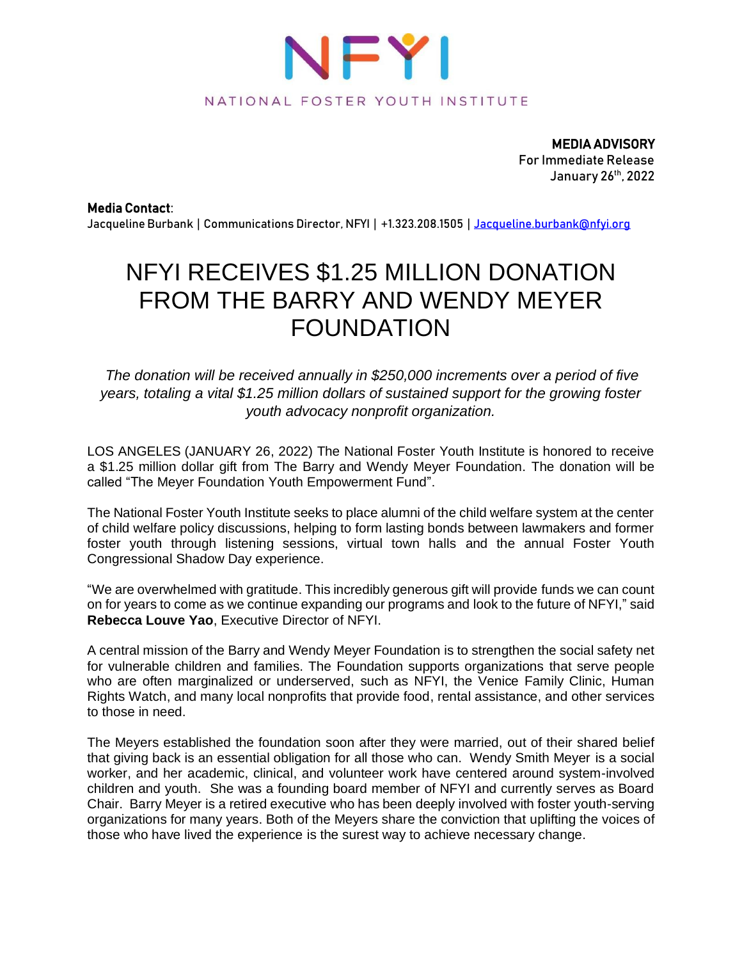

MEDIA ADVISORY For Immediate Release January 26th, 2022

Media Contact:

Jacqueline Burbank | Communications Director, NFYI | +1.323.208.1505 | [Jacqueline.burbank@nfyi.org](mailto:Jacqueline.burbank@nfyi.org)

## NFYI RECEIVES \$1.25 MILLION DONATION FROM THE BARRY AND WENDY MEYER FOUNDATION

*The donation will be received annually in \$250,000 increments over a period of five years, totaling a vital \$1.25 million dollars of sustained support for the growing foster youth advocacy nonprofit organization.* 

LOS ANGELES (JANUARY 26, 2022) The National Foster Youth Institute is honored to receive a \$1.25 million dollar gift from The Barry and Wendy Meyer Foundation. The donation will be called "The Meyer Foundation Youth Empowerment Fund".

The National Foster Youth Institute seeks to place alumni of the child welfare system at the center of child welfare policy discussions, helping to form lasting bonds between lawmakers and former foster youth through listening sessions, virtual town halls and the annual Foster Youth Congressional Shadow Day experience.

"We are overwhelmed with gratitude. This incredibly generous gift will provide funds we can count on for years to come as we continue expanding our programs and look to the future of NFYI," said **Rebecca Louve Yao**, Executive Director of NFYI.

A central mission of the Barry and Wendy Meyer Foundation is to strengthen the social safety net for vulnerable children and families. The Foundation supports organizations that serve people who are often marginalized or underserved, such as NFYI, the Venice Family Clinic, Human Rights Watch, and many local nonprofits that provide food, rental assistance, and other services to those in need.

The Meyers established the foundation soon after they were married, out of their shared belief that giving back is an essential obligation for all those who can. Wendy Smith Meyer is a social worker, and her academic, clinical, and volunteer work have centered around system-involved children and youth. She was a founding board member of NFYI and currently serves as Board Chair. Barry Meyer is a retired executive who has been deeply involved with foster youth-serving organizations for many years. Both of the Meyers share the conviction that uplifting the voices of those who have lived the experience is the surest way to achieve necessary change.